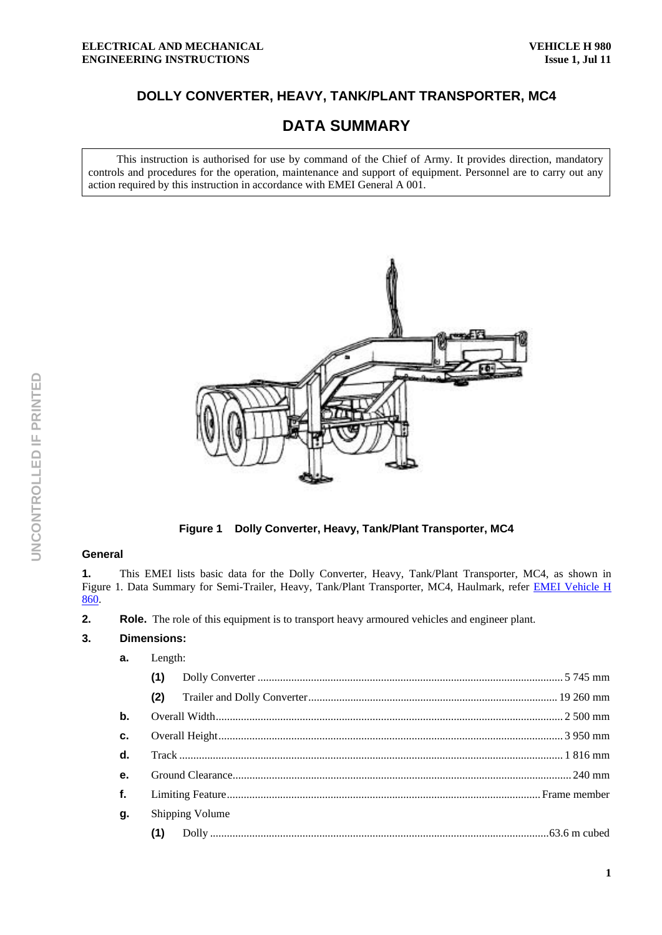# **DOLLY CONVERTER, HEAVY, TANK/PLANT TRANSPORTER, MC4**

# **DATA SUMMARY**

This instruction is authorised for use by command of the Chief of Army. It provides direction, mandatory controls and procedures for the operation, maintenance and support of equipment. Personnel are to carry out any action required by this instruction in accordance with EMEI General A 001.



**Figure 1 Dolly Converter, Heavy, Tank/Plant Transporter, MC4** 

## **General**

**1.** This EMEI lists basic data for the Dolly Converter, Heavy, Tank/Plant Transporter, MC4, as shown in Figure 1. Data Summary for Semi-Trailer, Heavy, Tank/Plant Transporter, MC4, Haulmark, refer **EMEI Vehicle H** 860.

**2.** Role. The role of this equipment is to transport heavy armoured vehicles and engineer plant.

#### **3. Dimensions:**

| a.            | Length: |                 |  |  |  |  |
|---------------|---------|-----------------|--|--|--|--|
|               | (1)     |                 |  |  |  |  |
|               | (2)     |                 |  |  |  |  |
| $\mathbf b$ . |         |                 |  |  |  |  |
| c.            |         |                 |  |  |  |  |
| d.            |         |                 |  |  |  |  |
| e.            |         |                 |  |  |  |  |
| f.            |         |                 |  |  |  |  |
| g.            |         | Shipping Volume |  |  |  |  |
|               | (1)     |                 |  |  |  |  |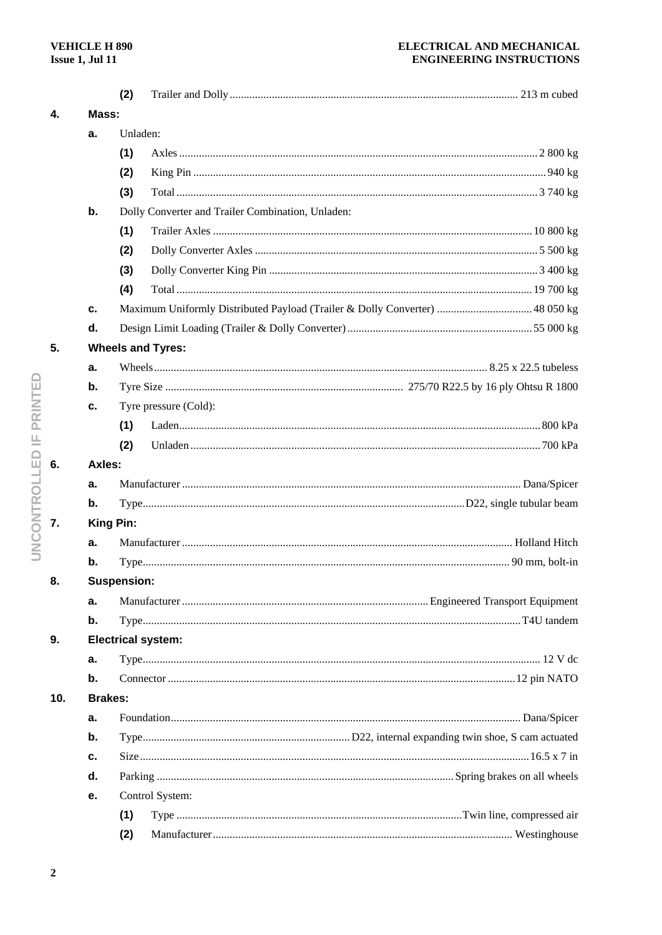### ELECTRICAL AND MECHANICAL **ENGINEERING INSTRUCTIONS**

|     |                          | (2)                       |                                                                              |  |  |  |  |  |
|-----|--------------------------|---------------------------|------------------------------------------------------------------------------|--|--|--|--|--|
| 4.  |                          | Mass:                     |                                                                              |  |  |  |  |  |
|     | a.                       |                           | Unladen:                                                                     |  |  |  |  |  |
|     |                          | (1)                       |                                                                              |  |  |  |  |  |
|     |                          | (2)                       |                                                                              |  |  |  |  |  |
|     |                          | (3)                       |                                                                              |  |  |  |  |  |
|     | b.                       |                           | Dolly Converter and Trailer Combination, Unladen:                            |  |  |  |  |  |
|     |                          | (1)                       |                                                                              |  |  |  |  |  |
|     |                          | (2)                       |                                                                              |  |  |  |  |  |
|     |                          | (3)                       |                                                                              |  |  |  |  |  |
|     |                          | (4)                       |                                                                              |  |  |  |  |  |
|     | c.                       |                           | Maximum Uniformly Distributed Payload (Trailer & Dolly Converter)  48 050 kg |  |  |  |  |  |
|     | d.                       |                           |                                                                              |  |  |  |  |  |
| 5.  | <b>Wheels and Tyres:</b> |                           |                                                                              |  |  |  |  |  |
|     | a.                       |                           |                                                                              |  |  |  |  |  |
|     | b.                       |                           |                                                                              |  |  |  |  |  |
|     | c.                       |                           | Tyre pressure (Cold):                                                        |  |  |  |  |  |
|     |                          | (1)                       |                                                                              |  |  |  |  |  |
|     |                          | (2)                       |                                                                              |  |  |  |  |  |
| 6.  |                          | Axles:                    |                                                                              |  |  |  |  |  |
|     | a.                       |                           |                                                                              |  |  |  |  |  |
|     | $\mathbf b$ .            |                           |                                                                              |  |  |  |  |  |
| 7.  |                          | <b>King Pin:</b>          |                                                                              |  |  |  |  |  |
|     | a.                       |                           |                                                                              |  |  |  |  |  |
|     | b.                       |                           |                                                                              |  |  |  |  |  |
| 8.  |                          | <b>Suspension:</b>        |                                                                              |  |  |  |  |  |
|     | a.                       |                           |                                                                              |  |  |  |  |  |
|     | b.                       |                           |                                                                              |  |  |  |  |  |
| 9.  |                          | <b>Electrical system:</b> |                                                                              |  |  |  |  |  |
|     | a.                       |                           |                                                                              |  |  |  |  |  |
|     | b.                       |                           |                                                                              |  |  |  |  |  |
| 10. | <b>Brakes:</b>           |                           |                                                                              |  |  |  |  |  |
|     | a.                       |                           |                                                                              |  |  |  |  |  |
|     | b.                       |                           |                                                                              |  |  |  |  |  |
|     | c.                       |                           |                                                                              |  |  |  |  |  |
|     | d.                       |                           |                                                                              |  |  |  |  |  |
|     | е.                       |                           | Control System:                                                              |  |  |  |  |  |
|     |                          | (1)                       |                                                                              |  |  |  |  |  |
|     |                          | (2)                       |                                                                              |  |  |  |  |  |